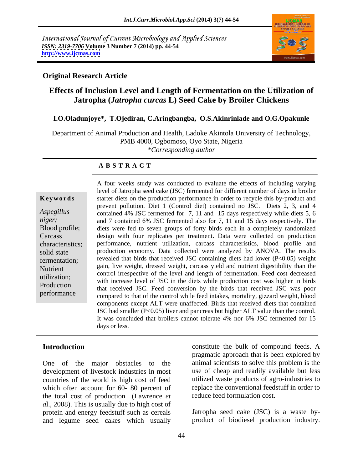International Journal of Current Microbiology and Applied Sciences *ISSN: 2319-7706* **Volume 3 Number 7 (2014) pp. 44-54 <http://www.ijcmas.com>**



### **Original Research Article**

# **Effects of Inclusion Level and Length of Fermentation on the Utilization of Jatropha (***Jatropha curcas* **L) Seed Cake by Broiler Chickens**

### **I.O.Oladunjoye\*, T.Ojediran, C.Aringbangba, O.S.Akinrinlade and O.G.Opakunle**

Department of Animal Production and Health, Ladoke Akintola University of Technology, PMB 4000, Ogbomoso, Oyo State, Nigeria *\*Corresponding author* 

### **A B S T R A C T**

**Keywords** starter diets on the production performance in order to recycle this by-product and *Aspegillus*  contained 4% JSC fermented for 7, 11 and 15 days respectively while diets 5, 6 *niger;* and 7 contained 6% JSC fermented also for 7, 11 and 15 days respectively. The Blood profile; diets were fed to seven groups of forty birds each in a completely randomized Carcass design with four replicates per treatment. Data were collected on production characteristics; performance, nutrient utilization, carcass characteristics, blood profile and solid state production economy. Data collected were analyzed by ANOVA. The results fermentation; revealed that birds that received JSC containing diets had lower (P<0.05) weight Nutrient gain, live weight, dressed weight, carcass yield and nutrient digestibility than the utilization;<br>with increase level of JSC in the diets while production cost was higher in birds Production<br>that received JSC. Feed conversion by the birds that received JSC was poor performance<br>
compared to that of the control while feed intakes, mortality, gizzard weight, blood A four weeks study was conducted to evaluate the effects of including varying level of Jatropha seed cake (JSC) fermented for different number of days in broiler prevent pollution. Diet 1 (Control diet) contained no JSC. Diets 2, 3, and 4 control irrespective of the level and length of fermentation. Feed cost decreased components except ALT were unaffected. Birds that received diets that contained JSC had smaller (P<0.05) liver and pancreas but higher ALT value than the control. It was concluded that broilers cannot tolerate 4% nor 6% JSC fermented for 15 days or less.

One of the major obstacles to the development of livestock industries in most countries of the world is high cost of feed which often account for 60- 80 percent of the total cost of production (Lawrence *et a*l., 2008). This is usually due to high cost of protein and energy feedstuff such as cereals and legume seed cakes which usually product of biodiesel production industry.

**Introduction** constitute the bulk of compound feeds. A pragmatic approach that is been explored by animal scientists to solve this problem is the use of cheap and readily available but less utilized waste products of agro-industries to replace the conventional feedstuff in order to reduce feed formulation cost.

Jatropha seed cake (JSC) is a waste by-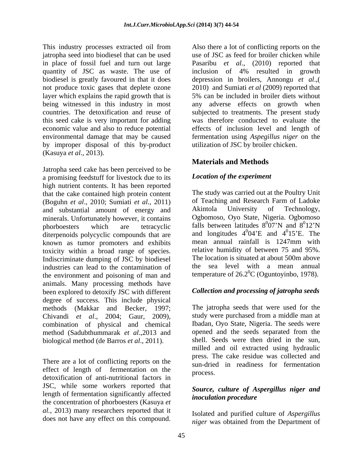This industry processes extracted oil from Also there a lot of conflicting reports on the jatropha seed into biodiesel that can be used use of JSC as feed for broiler chicken while in place of fossil fuel and turn out large Pasaribu *et al*., (2010) reported that quantity of JSC as waste. The use of inclusion of 4% resulted in growth biodiesel is greatly favoured in that it does depression in broilers, Annongu *et al*.,( not produce toxic gases that deplete ozone layer which explains the rapid growth that is 5% can be included in broiler diets without being witnessed in this industry in most any adverse effects on growth when countries. The detoxification and reuse of subjected to treatments. The present study this seed cake is very important for adding was therefore conducted to evaluate the economic value and also to reduce potential environmental damage that may be caused fermentation using *Aspegillus niger* on the by improper disposal of this by-product (Kasuya *et al*., 2013).

Jatropha seed cake has been perceived to be a promising feedstuff for livestock due to its high nutrient contents. It has been reported that the cake contained high protein content (Boguhn *et al.*, 2010; Sumiati *et al.*, 2011) of Teaching and Research Farm of Ladoke<br>and substantial amount of energy and Akintola University of Technology. and substantial amount of energy and minerals. Unfortunately however, it contains phorboesters which are tetracyclic falls between latitudes  $8^007'N$  and  $8^012'N$ diterpenoids polycyclic compounds that are known as tumor promoters and exhibits toxicity within a broad range of species. Indiscriminate dumping of JSC by biodiesel industries can lead to the contamination of the environment and poisoning of man and animals. Many processing methods have been explored to detoxify JSC with different degree of success. This include physical methods (Makkar and Becker, 1997; Chivandi *et al*., 2004; Gaur, 2009), combination of physical and chemical method (Sadubthummarak *et al*.,2013 and biological method (de Barros *et al*., 2011). This backnets contained in the best of conflicting reports of the conflicting reports on the phase of conflicting reports on the phase of conflicting reports on the phase of conflicting reports on the phase of conflicting

There are a lot of conflicting reports on the effect of length of fermentation on the process. detoxification of anti-nutritional factors in JSC, while some workers reported that length of fermentation significantly affected the concentration of phorboesters (Kasuya *et al.*, 2013) many researchers reported that it

2010) and Sumiati *et al* (2009) reported that effects of inclusion level and length of utilization of JSC by broiler chicken.

# **Materials and Methods**

# *Location of the experiment*

The study was carried out at the Poultry Unit of Teaching and Research Farm of Ladoke Akintola University of Technology, Ogbomoso, Oyo State, Nigeria. Ogbomoso  $\overline{007'N}$  and  $\overline{Q012'N}$ 07'N and  $8^012'N$  $0<sub>1</sub>$  $\gamma$ <sub>NI</sub> 12'N and longitudes  $4^004$ <sup>o</sup>E and  $4^015$ <sup>o</sup>E. The 04'E and  $4^{\circ}15$ 'E. The  $^{0}$ 15'<sup>D</sup> The 15 E. The mean annual rainfall is 1247mm with relative humidity of between 75 and 95%. The location is situated at about 500m above the sea level with a mean annual temperature of  $26.2^{\circ}$ C (Oguntoyinbo, 1978).

# *Collection and processing of jatropha seeds*

The jatropha seeds that were used for the study were purchased from a middle man at Ibadan, Oyo State, Nigeria. The seeds were opened and the seeds separated from the shell. Seeds were then dried in the sun, milled and oil extracted using hydraulic press. The cake residue was collected and sun-dried in readiness for fermentation process.

# *Source, culture of Aspergillus niger and inoculation procedure*

Isolated and purified culture of *Aspergillus niger* was obtained from the Department of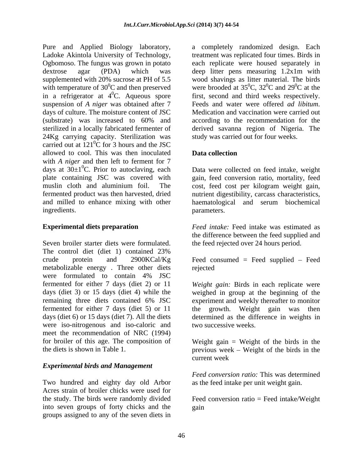Pure and Applied Biology laboratory, a completely randomized design. Each Ladoke Akintola University of Technology, Ogbomoso. The fungus was grown in potato dextrose agar (PDA) which was deep litter pens measuring 1.2x1m with supplemented with 20% sucrose at PH of 5.5 wood shavings as litter material. The birds with temperature of  $30^0C$  and then preserved<br>in a refrigerator at  $4^0C$ . Aqueous spore in a refrigerator at  $4^0C$ . Aqueous spore first, second and third weeks respectively. suspension of *A niger* was obtained after 7 Feeds and water were offered *ad libitum*. days of culture. The moisture content of JSC Medication and vaccination were carried out (substrate) was increased to 60% and sterilized in a locally fabricated fermenter of derived savanna region of Nigeria. The 24Kg carrying capacity. Sterilization was carried out at  $121^{\circ}$ C for 3 hours and the JSC  ${}^{0}C$  for 3 hours and the JSC allowed to cool. This was then inoculated with *A niger* and then left to ferment for 7 days at  $30\pm1^0C$ . Prior to autoclaving, each days at  $30\pm1\textsuperscript{0}C$ . Prior to autoclaving, each Data were collected on feed intake, weight plate containing JSC was covered with gain, feed conversion ratio, mortality, feed muslin cloth and aluminium foil. The cost, feed cost per kilogram weight gain, fermented product was then harvested, dried nutrient digestibility, carcass characteristics, and milled to enhance mixing with other haematological and serum biochemical

Seven broiler starter diets were formulated. The control diet (diet 1) contained 23% crude protein and 2900KCal/Kg Feed consumed = Feed supplied – Feed metabolizable energy . Three other diets were formulated to contain 4% JSC fermented for either 7 days (diet 2) or 11 *Weight gain:* Birds in each replicate were days (diet 3) or 15 days (diet 4) while the weighed in group at the beginning of the remaining three diets contained 6% JSC experiment and weekly thereafter to monitor fermented for either 7 days (diet 5) or 11 days (diet 6) or 15 days (diet 7). All the diets determined as the difference in weights in were iso-nitrogenous and iso-caloric and meet the recommendation of NRC (1994) for broiler of this age. The composition of Weight gain = Weight of the birds in the

# *Experimental birds and Management*

Two hundred and eighty day old Arbor Acres strain of broiler chicks were used for the study. The birds were randomly divided Feed conversion ratio = Feed intake/Weight into seven groups of forty chicks and the groups assigned to any of the seven diets in

treatment was replicated four times. Birds in each replicate were housed separately in were brooded at  $35^{\circ}$ C,  $32^{\circ}$ C and  $29^{\circ}$ C at the  $\rm{^{0}C}$ , 32<sup>0</sup>C and 29<sup>0</sup>C at the  ${}^{0}C$  and 29 ${}^{0}C$  at the  ${}^{0}C$  at the Feeds and water were offered *ad libitum*. Medication and vaccination were carried out according to the recommendation for the study was carried out for four weeks.

# **Data collection**

ingredients. The contraction of the parameters. parameters.

**Experimental diets preparation** *Feed intake:* Feed intake was estimated as the difference between the feed supplied and the feed rejected over 24 hours period.

rejected

growth. Weight gain was two successive weeks.

the diets is shown in Table 1. The previous week – Weight of the birds in the  $\frac{1}{2}$ current week

> *Feed conversion ratio:* This was determined as the feed intake per unit weight gain.

> gain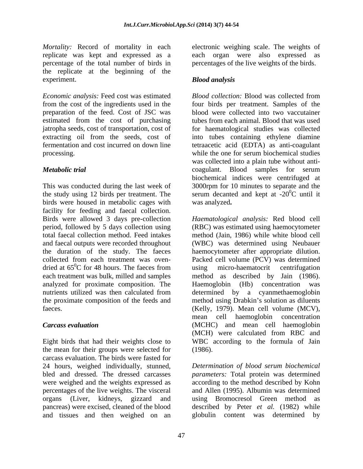Mortality: Record of mortality in each electronic weighing scale. The weights of replicate was kept and expressed as a each organ were also expressed as percentage of the total number of birds in the replicate at the beginning of the experiment. Blood analysis

*Economic analysis:* Feed cost was estimated *Blood collection:* Blood was collected from from the cost of the ingredients used in the four birds per treatment. Samples of the preparation of the feed. Cost of JSC was estimated from the cost of purchasing jatropha seeds, cost of transportation, cost of for haematological studies was collected extracting oil from the seeds, cost of into tubes containing ethylene diamine fermentation and cost incurred on down line tetraacetic acid (EDTA) as anti-coagulant processing. while the one for serum biochemical studies

This was conducted during the last week of 3000rpm for 10 minutes to separate and the the study using 12 birds per treatment. The serum decanted and kept at  $-20^{\circ}$ C until it birds were housed in metabolic cages with facility for feeding and faecal collection.Birds were allowed <sup>3</sup> days pre-collection dried at  $65^{\circ}$ C for 48 hours. The faeces from using analyzed for proximate composition. The

the mean for their groups were selected for (1986). carcass evaluation. The birds were fasted for were weighed and the weights expressed as percentages of the live weights. The visceral organs (Liver, kidneys, gizzard and and tissues and then weighed on an globulin content was determined by

percentages of the live weights of the birds.

# *Blood analysis*

*Metabolic trial* coagulant. Blood samples for serum blood were collected into two vaccutainer tubes from each animal. Blood that was used while the one for serum biochemical studies was collected into a plain tube without anti biochemical indices were centrifuged at was analyzed**.**

period, followed by 5 days collection using (RBC) was estimated using haemocytometer total faecal collection method. Feed intakes method (Jain, 1986) while white blood cell and faecal outputs were recorded throughout (WBC) was determined using Neubauer the duration of the study. The faeces haemocytometer after appropriate dilution. collected from each treatment was oven- Packed cell volume (PCV) was determined  ${}^{0}C$  for 48 hours. The faeces from using micro-haematocrit centrifugation each treatment was bulk, milled and samples method as described by Jain (1986). nutrients utilized was then calculated from determined by a cyanmethaemoglobin the proximate composition of the feeds and method using Drabkin's solution as diluents faeces. (Kelly, 1979). Mean cell volume (MCV), *Carcass evaluation* (MCHC) and mean cell haemoglobin Eight birds that had their weights close to WBC according to the formula of Jain *Haematological analysis:* Red blood cell micro-haematocrit centrifugation Haemoglobin (Hb) concentration mean cell haemoglobin concentration (MCH) were calculated from RBC and (1986).

24 hours, weighed individually, stunned, *Determination of blood serum biochemical* bled and dressed. The dressed carcasses *parameters:* Total protein was determined pancreas) were excised, cleaned of the blood described by Peter *et al.* (1982) while according to the method described by Kohn and Allen (1995). Albumin was determined using Bromocresol Green method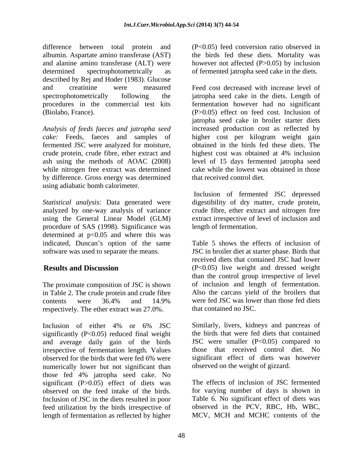difference between total protein and (P<0.05) feed conversion ratio observed in albumin. Aspartate amino transferase (AST) and alanine amino transferase (ALT) were however not affected (P>0.05) by inclusion determined spectrophotometrically as of fermented jatropha seed cake in the diets. described by Rej and Hoder (1983). Glucose

*Analysis of feeds faeces and jatropha seed* by difference. Gross energy was determined using adiabatic bomb calorimeter.

*Statistical analysis:* Data generated were digestibility of dry matter, crude protein, analyzed by one-way analysis of variance crude fibre, ether extract and nitrogen free using the General Linear Model (GLM) extract irrespective of level of inclusion and procedure of SAS (1998). Significance was determined at  $p<0.05$  and where this was indicated, Duncan's option of the same

The proximate composition of JSC is shown in Table 2. The crude protein and crude fibre respectively. The ether extract was 27.0%.

Inclusion of either 4% or 6% JSC Similarly, livers, kidneys and pancreas of significantly  $(P<0.05)$  reduced final weight and average daily gain of the birds irrespective of fermentation length. Values observed for the birds that were fed 6% were numerically lower but not significant than those fed 4% jatropha seed cake. No significant (P>0.05) effect of diets was observed on the feed intake of the birds. for varying number of days is shown in Inclusion of JSC in the diets resulted in poor feed utilization by the birds irrespective of length of fermentation as reflected by higher

the birds fed these diets. Mortality was

and creatinine were measured Feed cost decreased with increase level of spectrophotometrically following the jatropha seed cake in the diets. Length of procedures in the commercial test kits fermentation however had no significant (Biolabo, France). (P>0.05) effect on feed cost. Inclusion of *cake:* Feeds, faeces and samples of higher cost per kilogram weight gain fermented JSC were analyzed for moisture, obtained in the birds fed these diets. The crude protein, crude fibre, ether extract and highest cost was obtained at 4% inclusion ash using the methods of AOAC (2008) level of 15 days fermented jatropha seed while nitrogen free extract was determined cake while the lowest was obtained in those jatropha seed cake in broiler starter diets increased production cost as reflected by that received control diet.

> Inclusion of fermented JSC depressed length of fermentation.

software was used to separate the means. JSC in broiler diet at starter phase. Birds that **Results and Discussion** (P<0.05) live weight and dressed weight contents were 36.4% and 14.9% were fed JSC was lower than those fed diets Table 5 shows the effects of inclusion of received diets that contained JSC had lower than the control group irrespective of level of inclusion and length of fermentation. Also the carcass yield of the broilers that were fed JSC was lower than those fed diets that contained no JSC.

> Similarly, livers, kidneys and pancreas of the birds that were fed diets that contained JSC were smaller  $(P<0.05)$  compared to those that received control diet. No significant effect of diets was however observed on the weight of gizzard.

> The effects of inclusion of JSC fermented Table 6. No significant effect of diets was observed in the PCV, RBC, Hb, WBC, MCV, MCH and MCHC contents of the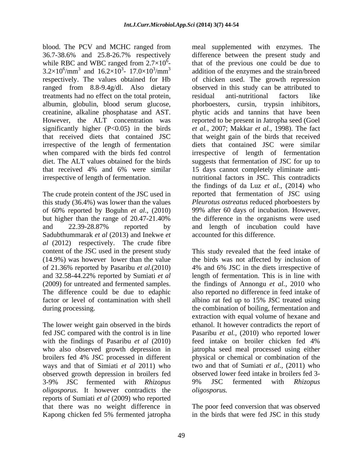blood. The PCV and MCHC ranged from meal supplemented with enzymes. The 36.7-38.6% and 25.8-26.7% respectively while RBC and WBC ranged from  $2.7 \times 10^6$ - $3.2\times10^6/\text{mm}^3$  and  $16.2\times10^3$ - 17.0×10<sup>3</sup>/mm<sup>3</sup> ranged from 8.8-9.4g/dl. Also dietary treatments had no effect on the total protein,

The crude protein content of the JSC used in Sadubthummarak *et al* (2013) and Inekwe *et al* (2012) respectively. The crude fibre of 21.36% reported by Pasaribu *et al*.(2010) factor or level of contamination with shell albino rat fed up to 15% JSC treated using

broilers fed 4% JSC processed in different ways and that of Simiati *et al* 2011) who observed growth depression in broilers fed 3-9% JSC fermented with *Rhizopus oligosporus*. It however contradicts the reports of Sumiati *et al* (2009) who reported that there was no weight difference in The poor feed conversion that was observed Kapong chicken fed 5% fermented jatropha in the birds that were fed JSC in this study

 $\frac{6}{5}$  that of the previous one could be due to /mm<sup>3</sup> and 16.2×10<sup>3</sup>- 17.0×10<sup>3</sup>/mm<sup>3</sup> addition of the enzymes and the strain/breed respectively. The values obtained for Hb of chicken used. The growth repression albumin, globulin, blood serum glucose, phorboesters, cursin, trypsin inhibitors, creatinine, alkaline phosphatase and AST. phytic acids and tannins that have been However, the ALT concentration was reported to be present in Jatropha seed (Goel significantly higher (P<0.05) in the birds *et al.,* 2007; Makkar *et al.*, 1998). The fact that received diets that contained JSC that weight gain of the birds that received irrespective of the length of fermentation diets that contained JSC were similar when compared with the birds fed control irrespective of length of fermentation diet. The ALT values obtained for the birds suggests that fermentation of JSC for up to that received 4% and 6% were similar 15 days cannot completely eliminate anti irrespective of length of fermentation. nutritional factors in JSC. This contradicts this study (36.4%) was lower than the values *Pleurotus ostreatus* reduced phorboesters by of 60% reported by Boguhn *et al*.,(2010) 99% after 60 days of incubation. However, but higher than the range of 20.47-21.40% the difference in the organisms were used and 22.39-28.87% reported by difference between the present study and observed in this study can be attributed to residual anti-nutritional factors like the findings of da Luz *et al.*, (2014) who reported that fermentation of JSC using and length of incubation could have accounted for this difference.

content of the JSC used in the present study This study revealed that the feed intake of (14.9%) was however lower than the value the birds was not affected by inclusion of and 32.58-44.22% reported by Sumiati *et al* length of fermentation. This is in line with (2009) for untreated and fermented samples. the findings of Annongu *et al.,* 2010 who The difference could be due to edaphic also reported no difference in feed intake of during processing. the combination of boiling, fermentation and The lower weight gain observed in the birds ethanol. It however contradicts the report of fed JSC compared with the control is in line Pasaribu *et al.,* (2010) who reported lower with the findings of Pasaribu *et al* (2010) feed intake on broiler chicken fed 4% who also observed growth depression in jatropha seed meal processed using either 4% and 6% JSC in the diets irrespective of albino rat fed up to 15% JSC treated using extraction with equal volume of hexane and physical or chemical or combination of the two and that of Sumiati *et al.,* (2011) who observed lower feed intake in broilers fed 3- 9% JSC fermented with *Rhizopus oligosporus.*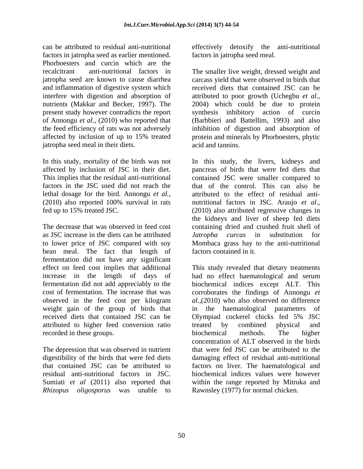can be attributed to residual anti-nutritional effectively detoxify the anti-nutritional factors in jatropha seed as earlier mentioned. Phorboesters and curcin which are the and inflammation of digestive system which interfere with digestion and absorption of attributed to poor growth (Uchegbu *et al.*, nutrients (Makkar and Becker, 1997). The 2004) which could be due to protein jatropha seed meal in their diets.

fed up to 15% treated JSC. (2010) also attributed regressive changes in

as JSC increase in the diets can be attributed *Jatropha curcas* in substitution for to lower price of JSC compared with soy bean meal. The fact that length of fermentation did not have any significant received diets that contained JSC can be <br> Olympiad cockerel chicks fed 5% JSC attributed to higher feed conversion ratio recorded in these groups. biochemical methods. The higher

The depression that was observed in nutrient residual anti-nutritional factors in JSC. *Rhizopus oligosporus* was unable to factors in jatropha seed meal.

recalcitrant anti-nutritional factors in The smaller live weight, dressed weight and jatropha seed are known to cause diarrhea carcass yield that were observed in birds that present study however contradicts the report synthesis inhibitory action of curcin of Annongu *et al.*, (2010) who reported that (Barbbieri and Battellim, 1993) and also the feed efficiency of rats was not adversely inhibition of digestion and absorption of affected by inclusion of up to 15% treated protein and minerals by Phorboesters, phytic received diets that contained JSC can be attributed to poor growth (Uchegbu *et al*., 2004) which could be due to protein acid and tannins.

In this study, mortality of the birds was not In this study, the livers, kidneys and affected by inclusion of JSC in their diet. pancreas of birds that were fed diets that This implies that the residual anti-nutritional contained JSC were smaller compared to factors in the JSC used did not reach the that of the control. This can also be lethal dosage for the bird. Annongu *et al.*, attributed to the effect of residual anti-<br>(2010) also reported 100% survival in rats mutritional factors in JSC. Araujo *et al.*, The decrease that was observed in feed cost containing dried and crushed fruit shell of attributed to the effect of residual anti nutritional factors in JSC. Araujo *et al*., (2010) also attributed regressive changes in the kidneys and liver of sheep fed diets *Jatropha curcas* in substitution for Mombaca grass hay to the anti-nutritional factors contained in it.

effect on feed cost implies that additional This study revealed that dietary treatments increase in the length of days of had no effect haematological and serum fermentation did not add appreciably to the biochemical indices except ALT. This cost of fermentation. The increase that was corroborates the findings of Annongu *et*  observed in the feed cost per kilogram al., (2010) who also observed no difference weight gain of the group of birds that in the haematological parameters of digestibility of the birds that were fed diets damaging effect of residual anti-nutritional that contained JSC can be attributed to factors on liver. The haematological and Sumiati *et al* (2011) also reported that within the range reported by Mitruka and *al*.,(2010) who also observed no difference Olympiad cockerel chicks fed 5% JSC treated by combined physical and biochemical methods. The higher concentration of ALT observed in the birds that were fed JSC can be attributed to the biochemical indices values were however Rawnsley (1977) for normal chicken.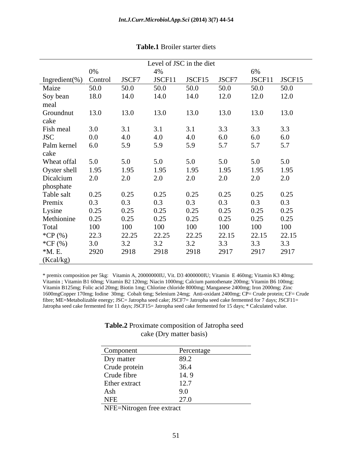|                           |      |       | Level of JSC in the diet |                |       |        |        |
|---------------------------|------|-------|--------------------------|----------------|-------|--------|--------|
|                           | 0%   |       | 4%                       |                |       | 6%     |        |
| Ingredient(%) Control     |      | JSCF7 | JSCF11                   | JSCF15         | JSCF7 | JSCF11 | JSCF15 |
| Maize                     | 50.0 | 50.0  | 50.0                     | 50.0           | 50.0  | 50.0   | 50.0   |
| Soy bean                  | 18.0 | 14.0  | 14.0                     | 14.0           | 12.0  | 12.0   | 12.0   |
| meal                      |      |       |                          |                |       |        |        |
| Groundnut                 | 13.0 | 13.0  | 13.0                     | 13.0           | 13.0  | 13.0   | 13.0   |
| cake                      |      |       |                          |                |       |        |        |
| Fish meal                 | 3.0  | 3.1   | 3.1                      | 3.1            | 3.3   | 3.3    | 3.3    |
| <b>JSC</b>                | 0.0  | 4.0   | 4.0                      | 4.0            | 6.0   | 6.0    | 6.0    |
| Palm kernel               | 6.0  | 5.9   | 5.9                      | 5.9            | 5.7   | 5.7    | 5.7    |
| cake                      |      |       |                          |                |       |        |        |
| Wheat offal               | 5.0  | 5.0   | 5.0                      |                | 5.0   | 5.0    | 5.0    |
|                           | 1.95 | 1.95  | 1.95                     | 1.95           | 1.95  | 1.95   | 1.95   |
| Oyster shell<br>Dicalcium | 2.0  | 2.0   | 2.0                      | 2.0            | 2.0   | 2.0    | 2.0    |
| phosphate                 |      |       |                          |                |       |        |        |
| Table salt                | 0.25 | 0.25  | 0.25                     | 0.25           | 0.25  | 0.25   | 0.25   |
| Premix                    | 0.3  | 0.3   | 0.3                      | 0.3            | 0.3   | 0.3    | 0.3    |
|                           | 0.25 | 0.25  | 0.25                     | 0.25           | 0.25  | 0.25   | 0.25   |
| Lysine<br>Methionine      | 0.25 | 0.25  | 0.25                     | 0.25           | 0.25  | 0.25   | 0.25   |
| Total                     | 100  | 100   | 100                      | 100            | 100   | 100    | 100    |
| *CP (%)                   | 22.3 | 22.25 | 22.25                    | 22.25          | 22.15 | 22.15  | 22.15  |
|                           |      |       |                          | 2 <sub>0</sub> |       |        |        |
| $^*CF(%)$                 | 3.0  | 3.2   | 3.2                      | 3.2            | 3.3   | 3.3    | 3.3    |
| $*M. E.$                  | 2920 | 2918  | 2918                     | 2918           | 2917  | 2917   | 2917   |
| (Kcal/kg)                 |      |       |                          |                |       |        |        |

### **Table.1** Broiler starter diets

\* premix composition per 5kg: Vitamin A, 20000000IU, Vit. D3 4000000IU; Vitamin E 460mg; Vitamin K3 40mg; Vitamin ; Vitamin B1 60mg; Vitamin B2 120mg; Niacin 1000mg; Calcium pantothenate 200mg; Vitamin B6 100mg; Vitamin B125mg; Folic acid 20mg; Biotin 1mg; Chlorine chloride 8000mg; Manganese 2400mg; Iron 2000mg; Zinc 1600mgCopper 170mg; Iodine 30mg; Cobalt 6mg; Selenium 24mg; Anti-oxidant 2400mg; CP= Crude protein; CF= Crude fibre; ME=Metabolizable energy; JSC= Jatropha seed cake; JSCF7= Jatropha seed cake fermented for 7 days; JSCF11= Jatropha seed cake fermented for 11 days; JSCF15= Jatropha seed cake fermented for 15 days; \* Calculated value.

### **Table.2** Proximate composition of Jatropha seed cake (Dry matter basis)

| Component     | Percentage |
|---------------|------------|
| Dry matter    | 89.2       |
| Crude protein | 36.4       |
| Crude fibre   | 14.9       |
| Ether extract | 12.7       |
| Ash           | 9.0        |
| <b>NFE</b>    | 27.0       |

NFE=Nitrogen free extract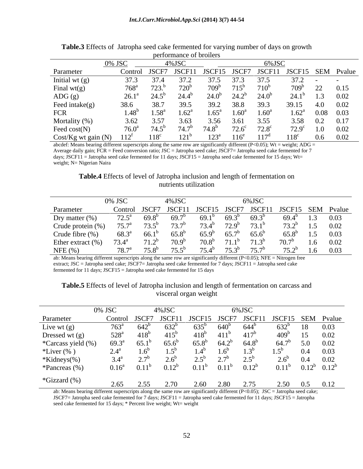|                         |                   |                                                                              | performance of profilers |                                                      |                 |                   |                               |                 |         |
|-------------------------|-------------------|------------------------------------------------------------------------------|--------------------------|------------------------------------------------------|-----------------|-------------------|-------------------------------|-----------------|---------|
|                         |                   |                                                                              | $4\%$ JSC                |                                                      |                 |                   |                               |                 |         |
| Parameter               |                   |                                                                              |                          | 1 JSCF7 JSCF11 JSCF15 JSCF7 JSCF11 JSCF15 SEM Pvalue |                 |                   |                               |                 |         |
| Initial wt $(g)$        |                   |                                                                              |                          | 37.5                                                 |                 | 37.5              | $-37.2 - -$                   |                 |         |
| Final $wt(g)$           |                   |                                                                              | $720^b$                  |                                                      |                 |                   |                               |                 | 22 0.15 |
| $\text{ADG}(\text{g})$  |                   | $26.1^a$ $24.5^b$ $24.4^b$                                                   |                          | $24.0^{\circ}$                                       |                 | $24.2^b$ $24.0^b$ | $24.1^b$ 1.3 0.02             |                 |         |
| Feed intake(g)          | 38 G              |                                                                              |                          |                                                      |                 |                   | 39.2 38.8 39.3 39.15 4.0 0.02 |                 |         |
| FCR                     |                   | $1.48^b$ $1.58^a$ $1.62^a$ $1.65^a$ $1.60^a$ $1.60^a$ $1.62^a$ $0.08$ $0.03$ |                          |                                                      |                 |                   |                               |                 |         |
| Mortality (%)           |                   | 3.62 3.57                                                                    | 3.63                     | 3.56                                                 | 3.61            | 3.55              |                               | $3.58$ 0.2 0.17 |         |
| Feed $cost(N)$          | 76.0 <sup>a</sup> |                                                                              |                          |                                                      | $72.6^{\circ}$  | $72.8^{\circ}$    | $72.9^c$ 1.0 0.02             |                 |         |
| $Cost/Kg$ wt gain $(N)$ |                   |                                                                              |                          |                                                      | $123^a$ $116^e$ |                   | $118^{\circ}$                 | $0.6$ 0.02      |         |

| Table.3<br>$\lambda$ Effect.<br>a seed cake fermented for varying number of days of<br>on growth<br>Jatropha<br>ets of |  |
|------------------------------------------------------------------------------------------------------------------------|--|
| t broilers<br>performance                                                                                              |  |

abcdef: Means bearing different superscripts along the same row are significantly different (P<0.05); Wt = weight; ADG = Average daily gain; FCR = Feed conversion ratio;  $JSC = J$ atropha seed cake;  $JSCF7 = J$ atropha seed cake fermented for 7 days; JSCF11 = Jatropha seed cake fermented for 11 days; JSCF15 = Jatropha seed cake fermented for 15 days; Wt= weight; N= Nigerian Naira

## **Table.4** Effects of level of Jatropha inclusion and length of fermentation on nutrients utilization

|           | $0\%$ JSC $4\%$ JSC |  |                                                                                               |  |  |
|-----------|---------------------|--|-----------------------------------------------------------------------------------------------|--|--|
| Parameter |                     |  | Control JSCF7 JSCF11 JSCF15 JSCF7 JSCF11 JSCF15 SEM Pvalue                                    |  |  |
|           |                     |  | Dry matter (%) $72.5^a$ $69.8^b$ $69.7^b$ $69.1^b$ $69.3^b$ $69.3^b$ $69.4^b$ $1.3$ $0.03$    |  |  |
|           |                     |  | Crude protein (%) $75.7^a$ $73.5^b$ $73.7^b$ $73.4^b$ $72.9^b$ $73.1^b$ $73.2^b$ $1.5$ $0.02$ |  |  |
|           |                     |  | Crude fibre (%) $68.3^a$ $66.1^b$ $65.8^b$ $65.9^b$ $65.7^b$ $65.6^b$ $65.8^b$ $1.5$ $0.03$   |  |  |
|           |                     |  | Ether extract (%) $73.4^a$ $71.2^b$ $70.9^b$ $70.8^b$ $71.1^b$ $71.3^b$ $70.7^b$ $1.6$ $0.02$ |  |  |
|           |                     |  | NFE (%) $78.7^a$ $75.8^b$ $75.5^b$ $75.4^b$ $75.3^b$ $75.7^b$ $75.2^b$ $1.6$ 0.03             |  |  |

ab: Means bearing different superscripts along the same row are significantly different  $(P<0.05)$ ; NFE = Nitrogen free extract; JSC = Jatropha seed cake; JSCF7= Jatropha seed cake fermented for 7 days; JSCF11 = Jatropha seed cake fermented for 11 days; JSCF15 = Jatropha seed cake fermented for 15 days

|                                                                                                                                                                        | 0% JSC |                             | $4\%$ JSC     |                                                            | 6%JSC            |                       |                            |  |
|------------------------------------------------------------------------------------------------------------------------------------------------------------------------|--------|-----------------------------|---------------|------------------------------------------------------------|------------------|-----------------------|----------------------------|--|
| Parameter                                                                                                                                                              |        |                             |               | Control JSCF7 JSCF11 JSCF15 JSCF7 JSCF11 JSCF15 SEM Pvalue |                  |                       |                            |  |
| Live wt $(g)$                                                                                                                                                          |        | $763^{\circ}$ $642^{\circ}$ | $632^b$       | $635^{\rm b}$                                              | $644^{\circ}$    |                       | $632^b$ 18 0.03            |  |
| Dressed wt (g)                                                                                                                                                         |        | $528^a$ $418^b$             | $415^{\rm b}$ | $418^{\circ}$                                              | $411^b$ $417^b$  |                       | $409^b$ 15 0.02            |  |
|                                                                                                                                                                        |        |                             |               | 65.8 <sup>b</sup> 64.2 <sup>b</sup> 64.8 <sup>b</sup>      |                  |                       | $64.7^b$ 5.0 0.02          |  |
|                                                                                                                                                                        |        |                             |               | $1.6^{\circ}$<br>$1.4^{\circ}$                             | 1.3 <sup>b</sup> | $1.5^{\circ}$         | $0.4\qquad 0.03$           |  |
|                                                                                                                                                                        |        |                             |               | $2.5^{\circ}$ $2.7^{\circ}$                                | $2.5^{\circ}$    |                       | $2.6^b$ 0.4 0.02           |  |
| *Carcass yield (%) $69.3^a$ $65.1^b$ $65.6^b$<br>*Liver (%) $2.4^a$ $1.6^b$ $1.5^b$<br>*Kidneys(%) $3.4^a$ $2.7^b$ $2.6^b$<br>*Pancreas (%) $0.16^a$ $0.11^b$ $0.12^b$ |        |                             |               | $0.16^a$ $0.11^b$ $0.12^b$ $0.11^b$ $0.11^b$ $0.12^b$      |                  |                       | $0.11^b$ $0.12^b$ $0.12^b$ |  |
|                                                                                                                                                                        |        |                             |               |                                                            |                  |                       |                            |  |
| *Gizzard (%)                                                                                                                                                           | 2.65   | 2.55                        | 2.70          | 2.60 2.80                                                  | 2.75             | $2.50 \t 0.5 \t 0.12$ |                            |  |

### **Table.5** Effects of level of Jatropha inclusion and length of fermentation on carcass and visceral organ weight

ab: Means bearing different superscripts along the same row are significantly different (P<0.05);  $JSC = Jatropha seed cake$ ; JSCF7= Jatropha seed cake fermented for 7 days; JSCF11 = Jatropha seed cake fermented for 11 days; JSCF15 = Jatropha seed cake fermented for 15 days; \* Percent live weight; Wt= weight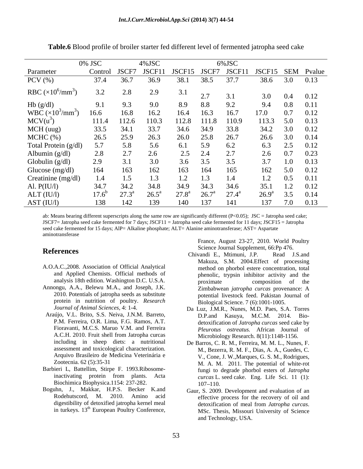|                                                                             | 0% JSC        |             | $4\%$ JSC      |                 | 6%JSC                                 |      |                                                            |
|-----------------------------------------------------------------------------|---------------|-------------|----------------|-----------------|---------------------------------------|------|------------------------------------------------------------|
| Parameter                                                                   |               |             |                |                 |                                       |      | Control JSCF7 JSCF11 JSCF15 JSCF7 JSCF11 JSCF15 SEM Pvalue |
| $PCV$ $(\% )$                                                               |               | 37.4 36.7   | 36.9           |                 | 38.1 38.5 37.7                        |      | 38.6 3.0 0.13                                              |
| RBC $(\times 10^6/\text{mm}^3)$                                             | 3.2           | 2.8         | 2.9            | 3.1             | 3.1                                   |      | $3.0$ $0.4$ $0.12$                                         |
|                                                                             |               |             |                |                 | 8.8<br>9.2                            | 9.4  | $0.8$ 0.11                                                 |
| Hb (g/dl)<br>WBC ( $\times 10^3$ /mm <sup>3</sup> )<br>MCV(u <sup>3</sup> ) | 16.6          | 16.8        | 16.2           | 16.4            | 16.3<br>16.7                          | 17.0 | $0.7$ 0.12                                                 |
|                                                                             |               | 111.4 112.6 | 110.3          |                 | 112.8 111.8 110.9                     |      | 113.3 5.0 0.13                                             |
| MCH (uug)                                                                   | 33.5          |             | 33.7           | 34.6            | 34.9 33.8                             |      | 34.2 3.0 0.12                                              |
| MCHC (%)                                                                    |               | 26.5 25.9   | 26.3           | 26.0            | 25.8 26.7                             |      | 26.6 3.0 0.14                                              |
| Total Protein (g/dl)                                                        |               | 5.8         | 5.6            | 6.1 5.9         | 6.2                                   |      | 6.3 2.5 0.12                                               |
| Albumin (g/dl)                                                              | 2.8           |             | 2.6            | $2.5$ 2.4       | 2.7                                   |      | $2.6$ 0.7 0.23                                             |
| Globulin (g/dl)                                                             |               |             | 3.0            | $3.6\qquad 3.5$ | 3.5                                   |      | $3.7$ $1.0$ $0.13$                                         |
| Glucose (mg/dl)                                                             |               |             |                | 163             | 164 165                               |      | 162 5.0 0.12                                               |
| Creatinine (mg/dl)                                                          | $1.4^{\circ}$ |             |                |                 | 1.3<br>1.4                            |      | $1.2 \t 0.5 \t 0.11$                                       |
| Al. $P(IU/I)$                                                               |               | 34.2        | 34.8 F         | 34.9            | 34.6<br>34.3                          |      | 35.1 1.2 0.12                                              |
| ALT (IU/l)                                                                  | $17.6^\circ$  |             | $26.5^{\circ}$ | $27.8^{\rm a}$  | $27.4^{\rm a}$<br>$26.7^{\mathrm{a}}$ |      | $26.9^a$ 3.5 0.14                                          |
| AST (IU/l)                                                                  | 138           |             |                | 140             | 141<br>137                            |      | 137 7.0 0.13                                               |

**Table.6** Blood profile of broiler starter fed different level of fermented jatropha seed cake

ab: Means bearing different superscripts along the same row are significantly different (P<0.05); JSC = Jatropha seed cake; JSCF7= Jatropha seed cake fermented for 7 days; JSCF11 = Jatropha seed cake fermented for 11 days; JSCF15 = Jatropha seed cake fermented for 15 days; AlP= Alkaline phosphate; ALT= Alanine aminotransferase; AST= Aspartate aminotransferase

- A.O.A.C.,2008. Association of Official Analytical and Applied Chemists. Official methods of
- Annongu, A.A., Belewu M.A., and Joseph, J.K. protein in nutrition of poultry. *Research*
- Araújo, V.L. Brito, S.S. Neiva, J.N.M. Barreto, D.P.and including in sheep diets: a nutritional assessment and toxicological characterization. Arquivo Brasileiro de Medicina Veterinária e
- Barbieri L, Battellim, Stirpe F. 1993.Ribosome-Biochimica Biophysica.1154: 237-282.
- Boguhn, J., Makkar, H.P.S. Becker K.and Gaur, S. 2009. Development and evaluation of an Rodehutscord, M. 2010. Amino acid

Science Journal Supplement, 66:Pp 476.

- **References**<br>Chivandi E Mtimuni IP Read IS and analysis 18th edition. Washington D.C. U.S.A. 2010. Potentials of jatropha seeds as substitute potential livestock feed. Pakistan Journal of France, August 23-27, 2010. World Poultry<br>
France, August 23-27, 2010. World Poultry<br>
Societion of Official methods of<br>
method on photolo estere concertration, total<br>
Chemiss. Official methods of<br>
method, on photolo estere Chivandi E., Mtimuni, J.P. Read J.S.and Makuza, S.M. 2004.Effect of processing method on phorbol estere concentration, total phenolic, trypsin inhibitor activity and the proximate composition of the Zimbabwean *jatropha curcas* provenance: A Biological Science. 7 (6):1001-1005.
	- *Journal of Animal Sciences,* 4: 1-4. Da Luz, J.M.R., Nunes, M.D. Paes, S.A. Torres P.M. Ferreira, O.R. Lima, F.G. Ramos, A.T. detoxification of *Jatropha curcas* seed cake by Fioravanti, M.C.S. Maruo V.M. and Ferreira *Pleurotus ostreatus.* African Journal of A.C.H. 2010. Fruit shell from Jatropha curcas Kasuya, M.C.M. 2014. Bio-Microbiology Research. 8(11):1148-1156.
	- Zootecnia. 62 (5):35-31 M. A. M. 2011. The potential of white-rot inactivating protein from plants. Acta  $curcas L$ , seed cake, Eng. Life Sci. 11 (1): De Barros, C. R. M., Ferreira, M. M. L., Nunes, F. M., Bezerra, R. M. F., Dias, A. A., Guedes, C. V., Cone, J. W.,Marques, G. S. M., Rodrigues, fungi to degrade phorbol esters of *Jatropha curcas* L. seed cake. Eng. Life Sci. 11 (1): 107–110.
	- digestibility of detoxified jatropha kernel meal detoxification of meal from Jatropha curcas. in turkeys. 13<sup>th</sup> European Poultry Conference, MSc. Thesis, Missouri University of Science effective process for the recovery of oil and detoxification of meal from *Jatropha curcas*. MSc. Thesis, Missouri University of Science and Technology, USA.